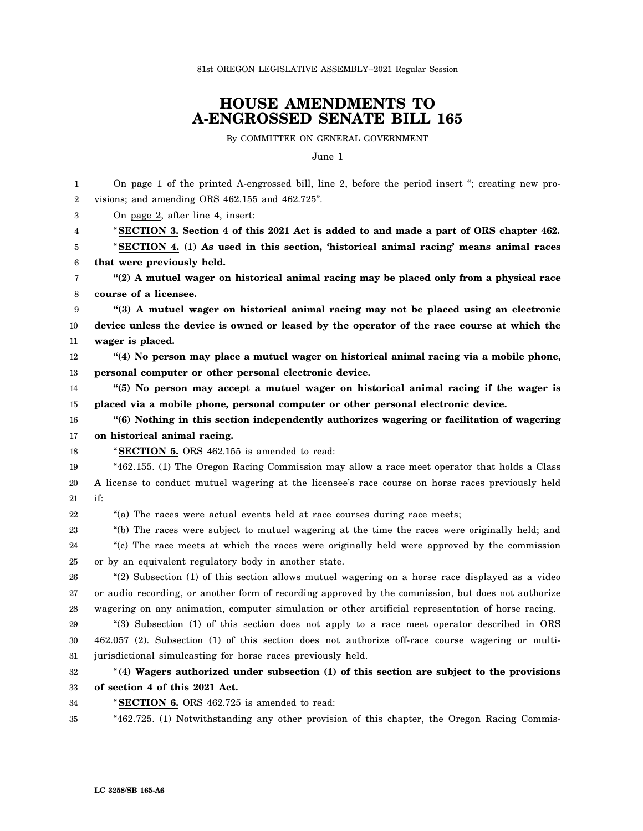81st OREGON LEGISLATIVE ASSEMBLY--2021 Regular Session

## **HOUSE AMENDMENTS TO A-ENGROSSED SENATE BILL 165**

By COMMITTEE ON GENERAL GOVERNMENT

June 1

| 1                | On page 1 of the printed A-engrossed bill, line 2, before the period insert "; creating new pro-    |
|------------------|-----------------------------------------------------------------------------------------------------|
| $\boldsymbol{2}$ | visions; and amending ORS 462.155 and 462.725".                                                     |
| 3                | On page 2, after line 4, insert:                                                                    |
| 4                | "SECTION 3. Section 4 of this 2021 Act is added to and made a part of ORS chapter 462.              |
| 5                | "SECTION 4. (1) As used in this section, 'historical animal racing' means animal races              |
| 6                | that were previously held.                                                                          |
| 7                | "(2) A mutuel wager on historical animal racing may be placed only from a physical race             |
| 8                | course of a licensee.                                                                               |
| 9                | "(3) A mutuel wager on historical animal racing may not be placed using an electronic               |
| 10               | device unless the device is owned or leased by the operator of the race course at which the         |
| 11               | wager is placed.                                                                                    |
| 12               | "(4) No person may place a mutuel wager on historical animal racing via a mobile phone,             |
| 13               | personal computer or other personal electronic device.                                              |
| 14               | "(5) No person may accept a mutuel wager on historical animal racing if the wager is                |
| 15               | placed via a mobile phone, personal computer or other personal electronic device.                   |
| 16               | "(6) Nothing in this section independently authorizes wagering or facilitation of wagering          |
| 17               | on historical animal racing.                                                                        |
| 18               | "SECTION 5. ORS 462.155 is amended to read:                                                         |
| 19               | "462.155. (1) The Oregon Racing Commission may allow a race meet operator that holds a Class        |
| 20               | A license to conduct mutuel wagering at the licensee's race course on horse races previously held   |
| 21               | if:                                                                                                 |
| 22               | "(a) The races were actual events held at race courses during race meets;                           |
| 23               | "(b) The races were subject to mutuel wagering at the time the races were originally held; and      |
| 24               | "(c) The race meets at which the races were originally held were approved by the commission         |
| 25               | or by an equivalent regulatory body in another state.                                               |
| 26               | "(2) Subsection (1) of this section allows mutuel wagering on a horse race displayed as a video     |
| 27               | or audio recording, or another form of recording approved by the commission, but does not authorize |
| 28               | wagering on any animation, computer simulation or other artificial representation of horse racing.  |
| 29               | "(3) Subsection (1) of this section does not apply to a race meet operator described in ORS         |
| 30               | 462.057 (2). Subsection (1) of this section does not authorize off-race course wagering or multi-   |
| 31               | jurisdictional simulcasting for horse races previously held.                                        |
| 32               | "(4) Wagers authorized under subsection (1) of this section are subject to the provisions           |
| 33               | of section 4 of this 2021 Act.                                                                      |
| 34               | "SECTION 6. ORS 462.725 is amended to read:                                                         |
| 35               | "462.725. (1) Notwithstanding any other provision of this chapter, the Oregon Racing Commis-        |